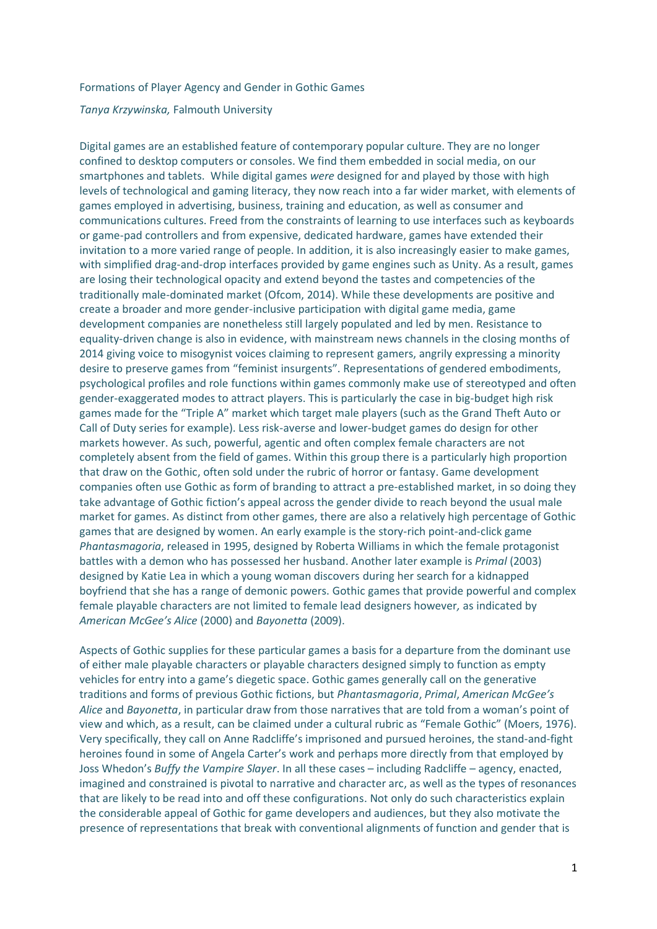## Formations of Player Agency and Gender in Gothic Games

## *Tanya Krzywinska,* Falmouth University

Digital games are an established feature of contemporary popular culture. They are no longer confined to desktop computers or consoles. We find them embedded in social media, on our smartphones and tablets. While digital games *were* designed for and played by those with high levels of technological and gaming literacy, they now reach into a far wider market, with elements of games employed in advertising, business, training and education, as well as consumer and communications cultures. Freed from the constraints of learning to use interfaces such as keyboards or game-pad controllers and from expensive, dedicated hardware, games have extended their invitation to a more varied range of people. In addition, it is also increasingly easier to make games, with simplified drag-and-drop interfaces provided by game engines such as Unity. As a result, games are losing their technological opacity and extend beyond the tastes and competencies of the traditionally male-dominated market (Ofcom, 2014). While these developments are positive and create a broader and more gender-inclusive participation with digital game media, game development companies are nonetheless still largely populated and led by men. Resistance to equality-driven change is also in evidence, with mainstream news channels in the closing months of 2014 giving voice to misogynist voices claiming to represent gamers, angrily expressing a minority desire to preserve games from "feminist insurgents". Representations of gendered embodiments, psychological profiles and role functions within games commonly make use of stereotyped and often gender-exaggerated modes to attract players. This is particularly the case in big-budget high risk games made for the "Triple A" market which target male players (such as the Grand Theft Auto or Call of Duty series for example). Less risk-averse and lower-budget games do design for other markets however. As such, powerful, agentic and often complex female characters are not completely absent from the field of games. Within this group there is a particularly high proportion that draw on the Gothic, often sold under the rubric of horror or fantasy. Game development companies often use Gothic as form of branding to attract a pre-established market, in so doing they take advantage of Gothic fiction's appeal across the gender divide to reach beyond the usual male market for games. As distinct from other games, there are also a relatively high percentage of Gothic games that are designed by women. An early example is the story-rich point-and-click game *Phantasmagoria*, released in 1995, designed by Roberta Williams in which the female protagonist battles with a demon who has possessed her husband. Another later example is *Primal* (2003) designed by Katie Lea in which a young woman discovers during her search for a kidnapped boyfriend that she has a range of demonic powers. Gothic games that provide powerful and complex female playable characters are not limited to female lead designers however*,* as indicated by *American McGee's Alice* (2000) and *Bayonetta* (2009).

Aspects of Gothic supplies for these particular games a basis for a departure from the dominant use of either male playable characters or playable characters designed simply to function as empty vehicles for entry into a game's diegetic space. Gothic games generally call on the generative traditions and forms of previous Gothic fictions, but *Phantasmagoria*, *Primal*, *American McGee's Alice* and *Bayonetta*, in particular draw from those narratives that are told from a woman's point of view and which, as a result, can be claimed under a cultural rubric as "Female Gothic" (Moers, 1976). Very specifically, they call on Anne Radcliffe's imprisoned and pursued heroines, the stand-and-fight heroines found in some of Angela Carter's work and perhaps more directly from that employed by Joss Whedon's *Buffy the Vampire Slayer*. In all these cases – including Radcliffe – agency, enacted, imagined and constrained is pivotal to narrative and character arc, as well as the types of resonances that are likely to be read into and off these configurations. Not only do such characteristics explain the considerable appeal of Gothic for game developers and audiences, but they also motivate the presence of representations that break with conventional alignments of function and gender that is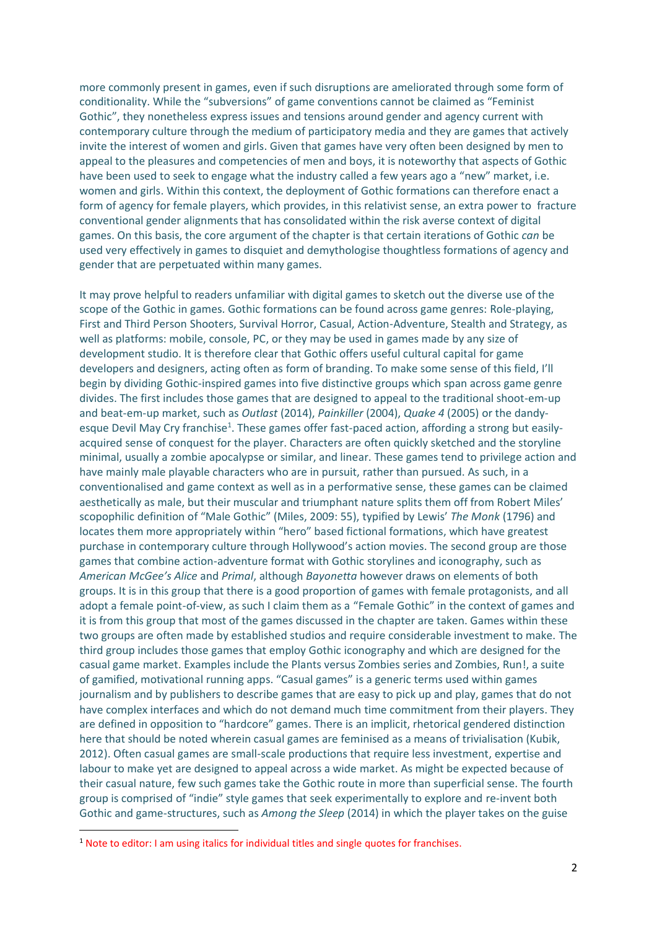more commonly present in games, even if such disruptions are ameliorated through some form of conditionality. While the "subversions" of game conventions cannot be claimed as "Feminist Gothic", they nonetheless express issues and tensions around gender and agency current with contemporary culture through the medium of participatory media and they are games that actively invite the interest of women and girls. Given that games have very often been designed by men to appeal to the pleasures and competencies of men and boys, it is noteworthy that aspects of Gothic have been used to seek to engage what the industry called a few years ago a "new" market, i.e. women and girls. Within this context, the deployment of Gothic formations can therefore enact a form of agency for female players, which provides, in this relativist sense, an extra power to fracture conventional gender alignments that has consolidated within the risk averse context of digital games. On this basis, the core argument of the chapter is that certain iterations of Gothic *can* be used very effectively in games to disquiet and demythologise thoughtless formations of agency and gender that are perpetuated within many games.

It may prove helpful to readers unfamiliar with digital games to sketch out the diverse use of the scope of the Gothic in games. Gothic formations can be found across game genres: Role-playing, First and Third Person Shooters, Survival Horror, Casual, Action-Adventure, Stealth and Strategy, as well as platforms: mobile, console, PC, or they may be used in games made by any size of development studio. It is therefore clear that Gothic offers useful cultural capital for game developers and designers, acting often as form of branding. To make some sense of this field, I'll begin by dividing Gothic-inspired games into five distinctive groups which span across game genre divides. The first includes those games that are designed to appeal to the traditional shoot-em-up and beat-em-up market, such as *Outlast* (2014), *Painkiller* (2004), *Quake 4* (2005) or the dandyesque Devil May Cry franchise<sup>1</sup>. These games offer fast-paced action, affording a strong but easilyacquired sense of conquest for the player. Characters are often quickly sketched and the storyline minimal, usually a zombie apocalypse or similar, and linear. These games tend to privilege action and have mainly male playable characters who are in pursuit, rather than pursued. As such, in a conventionalised and game context as well as in a performative sense, these games can be claimed aesthetically as male, but their muscular and triumphant nature splits them off from Robert Miles' scopophilic definition of "Male Gothic" (Miles, 2009: 55), typified by Lewis' *The Monk* (1796) and locates them more appropriately within "hero" based fictional formations, which have greatest purchase in contemporary culture through Hollywood's action movies. The second group are those games that combine action-adventure format with Gothic storylines and iconography, such as *American McGee's Alice* and *Primal*, although *Bayonetta* however draws on elements of both groups. It is in this group that there is a good proportion of games with female protagonists, and all adopt a female point-of-view, as such I claim them as a "Female Gothic" in the context of games and it is from this group that most of the games discussed in the chapter are taken. Games within these two groups are often made by established studios and require considerable investment to make. The third group includes those games that employ Gothic iconography and which are designed for the casual game market. Examples include the Plants versus Zombies series and Zombies, Run!, a suite of gamified, motivational running apps. "Casual games" is a generic terms used within games journalism and by publishers to describe games that are easy to pick up and play, games that do not have complex interfaces and which do not demand much time commitment from their players. They are defined in opposition to "hardcore" games. There is an implicit, rhetorical gendered distinction here that should be noted wherein casual games are feminised as a means of trivialisation (Kubik, 2012). Often casual games are small-scale productions that require less investment, expertise and labour to make yet are designed to appeal across a wide market. As might be expected because of their casual nature, few such games take the Gothic route in more than superficial sense. The fourth group is comprised of "indie" style games that seek experimentally to explore and re-invent both Gothic and game-structures, such as *Among the Sleep* (2014) in which the player takes on the guise

<sup>&</sup>lt;sup>1</sup> Note to editor: I am using italics for individual titles and single quotes for franchises.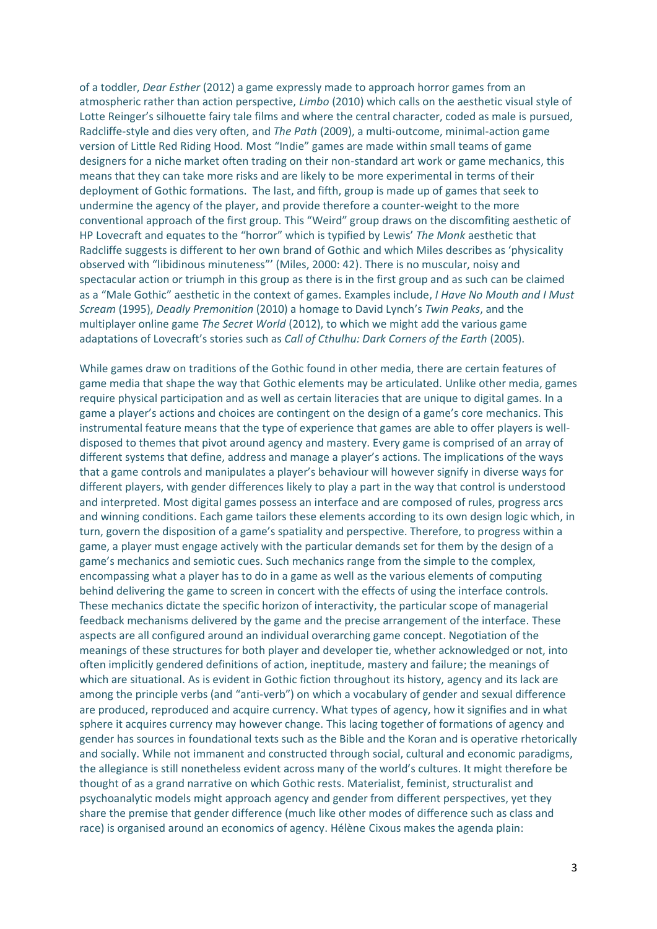of a toddler, *Dear Esther* (2012) a game expressly made to approach horror games from an atmospheric rather than action perspective, *Limbo* (2010) which calls on the aesthetic visual style of Lotte Reinger's silhouette fairy tale films and where the central character, coded as male is pursued, Radcliffe-style and dies very often, and *The Path* (2009), a multi-outcome, minimal-action game version of Little Red Riding Hood*.* Most "Indie" games are made within small teams of game designers for a niche market often trading on their non-standard art work or game mechanics, this means that they can take more risks and are likely to be more experimental in terms of their deployment of Gothic formations. The last, and fifth, group is made up of games that seek to undermine the agency of the player, and provide therefore a counter-weight to the more conventional approach of the first group. This "Weird" group draws on the discomfiting aesthetic of HP Lovecraft and equates to the "horror" which is typified by Lewis' *The Monk* aesthetic that Radcliffe suggests is different to her own brand of Gothic and which Miles describes as 'physicality observed with "libidinous minuteness"' (Miles, 2000: 42). There is no muscular, noisy and spectacular action or triumph in this group as there is in the first group and as such can be claimed as a "Male Gothic" aesthetic in the context of games. Examples include, *I Have No Mouth and I Must Scream* (1995), *Deadly Premonition* (2010) a homage to David Lynch's *Twin Peaks*, and the multiplayer online game *The Secret World* (2012), to which we might add the various game adaptations of Lovecraft's stories such as *Call of Cthulhu: Dark Corners of the Earth* (2005).

While games draw on traditions of the Gothic found in other media, there are certain features of game media that shape the way that Gothic elements may be articulated. Unlike other media, games require physical participation and as well as certain literacies that are unique to digital games. In a game a player's actions and choices are contingent on the design of a game's core mechanics. This instrumental feature means that the type of experience that games are able to offer players is welldisposed to themes that pivot around agency and mastery. Every game is comprised of an array of different systems that define, address and manage a player's actions. The implications of the ways that a game controls and manipulates a player's behaviour will however signify in diverse ways for different players, with gender differences likely to play a part in the way that control is understood and interpreted. Most digital games possess an interface and are composed of rules, progress arcs and winning conditions. Each game tailors these elements according to its own design logic which, in turn, govern the disposition of a game's spatiality and perspective. Therefore, to progress within a game, a player must engage actively with the particular demands set for them by the design of a game's mechanics and semiotic cues. Such mechanics range from the simple to the complex, encompassing what a player has to do in a game as well as the various elements of computing behind delivering the game to screen in concert with the effects of using the interface controls. These mechanics dictate the specific horizon of interactivity, the particular scope of managerial feedback mechanisms delivered by the game and the precise arrangement of the interface. These aspects are all configured around an individual overarching game concept. Negotiation of the meanings of these structures for both player and developer tie, whether acknowledged or not, into often implicitly gendered definitions of action, ineptitude, mastery and failure; the meanings of which are situational. As is evident in Gothic fiction throughout its history, agency and its lack are among the principle verbs (and "anti-verb") on which a vocabulary of gender and sexual difference are produced, reproduced and acquire currency. What types of agency, how it signifies and in what sphere it acquires currency may however change. This lacing together of formations of agency and gender has sources in foundational texts such as the Bible and the Koran and is operative rhetorically and socially. While not immanent and constructed through social, cultural and economic paradigms, the allegiance is still nonetheless evident across many of the world's cultures. It might therefore be thought of as a grand narrative on which Gothic rests. Materialist, feminist, structuralist and psychoanalytic models might approach agency and gender from different perspectives, yet they share the premise that gender difference (much like other modes of difference such as class and race) is organised around an economics of agency. Hélène Cixous makes the agenda plain: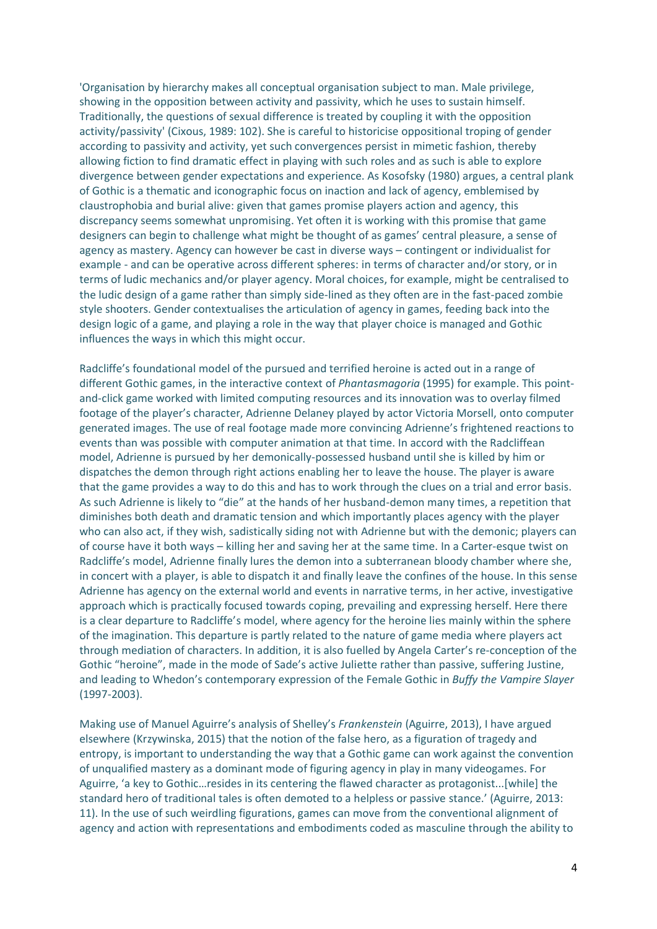'Organisation by hierarchy makes all conceptual organisation subject to man. Male privilege, showing in the opposition between activity and passivity, which he uses to sustain himself. Traditionally, the questions of sexual difference is treated by coupling it with the opposition activity/passivity' (Cixous, 1989: 102). She is careful to historicise oppositional troping of gender according to passivity and activity, yet such convergences persist in mimetic fashion, thereby allowing fiction to find dramatic effect in playing with such roles and as such is able to explore divergence between gender expectations and experience. As Kosofsky (1980) argues, a central plank of Gothic is a thematic and iconographic focus on inaction and lack of agency, emblemised by claustrophobia and burial alive: given that games promise players action and agency, this discrepancy seems somewhat unpromising. Yet often it is working with this promise that game designers can begin to challenge what might be thought of as games' central pleasure, a sense of agency as mastery. Agency can however be cast in diverse ways – contingent or individualist for example - and can be operative across different spheres: in terms of character and/or story, or in terms of ludic mechanics and/or player agency. Moral choices, for example, might be centralised to the ludic design of a game rather than simply side-lined as they often are in the fast-paced zombie style shooters. Gender contextualises the articulation of agency in games, feeding back into the design logic of a game, and playing a role in the way that player choice is managed and Gothic influences the ways in which this might occur.

Radcliffe's foundational model of the pursued and terrified heroine is acted out in a range of different Gothic games, in the interactive context of *Phantasmagoria* (1995) for example. This pointand-click game worked with limited computing resources and its innovation was to overlay filmed footage of the player's character, Adrienne Delaney played by actor Victoria Morsell, onto computer generated images. The use of real footage made more convincing Adrienne's frightened reactions to events than was possible with computer animation at that time. In accord with the Radcliffean model, Adrienne is pursued by her demonically-possessed husband until she is killed by him or dispatches the demon through right actions enabling her to leave the house. The player is aware that the game provides a way to do this and has to work through the clues on a trial and error basis. As such Adrienne is likely to "die" at the hands of her husband-demon many times, a repetition that diminishes both death and dramatic tension and which importantly places agency with the player who can also act, if they wish, sadistically siding not with Adrienne but with the demonic; players can of course have it both ways – killing her and saving her at the same time. In a Carter-esque twist on Radcliffe's model, Adrienne finally lures the demon into a subterranean bloody chamber where she, in concert with a player, is able to dispatch it and finally leave the confines of the house. In this sense Adrienne has agency on the external world and events in narrative terms, in her active, investigative approach which is practically focused towards coping, prevailing and expressing herself. Here there is a clear departure to Radcliffe's model, where agency for the heroine lies mainly within the sphere of the imagination. This departure is partly related to the nature of game media where players act through mediation of characters. In addition, it is also fuelled by Angela Carter's re-conception of the Gothic "heroine", made in the mode of Sade's active Juliette rather than passive, suffering Justine, and leading to Whedon's contemporary expression of the Female Gothic in *Buffy the Vampire Slayer*  (1997-2003).

Making use of Manuel Aguirre's analysis of Shelley's *Frankenstein* (Aguirre, 2013), I have argued elsewhere (Krzywinska, 2015) that the notion of the false hero, as a figuration of tragedy and entropy, is important to understanding the way that a Gothic game can work against the convention of unqualified mastery as a dominant mode of figuring agency in play in many videogames. For Aguirre, 'a key to Gothic…resides in its centering the flawed character as protagonist...[while] the standard hero of traditional tales is often demoted to a helpless or passive stance.' (Aguirre, 2013: 11). In the use of such weirdling figurations, games can move from the conventional alignment of agency and action with representations and embodiments coded as masculine through the ability to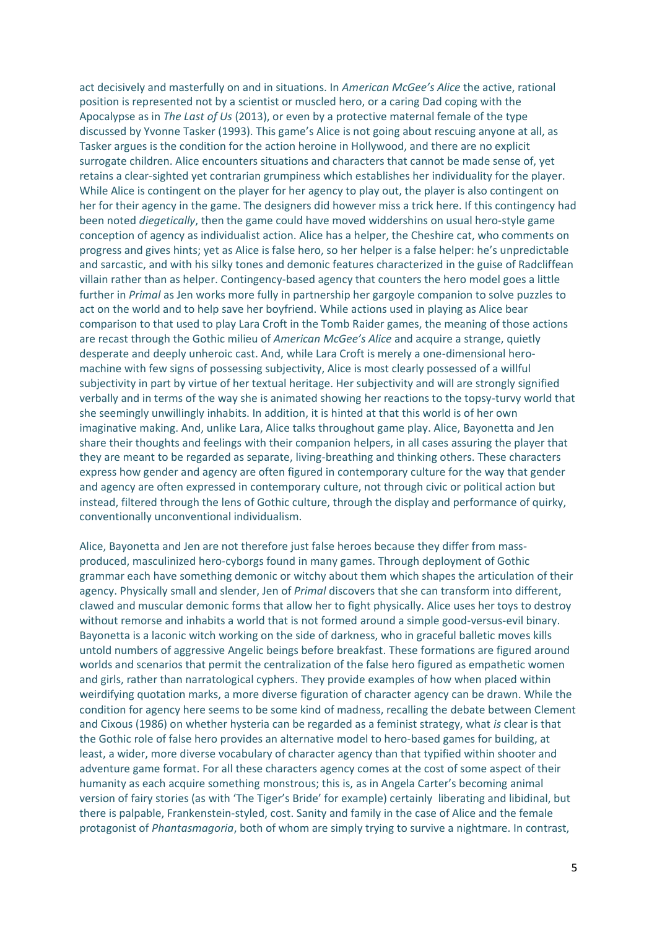act decisively and masterfully on and in situations. In *American McGee's Alice* the active, rational position is represented not by a scientist or muscled hero, or a caring Dad coping with the Apocalypse as in *The Last of Us* (2013), or even by a protective maternal female of the type discussed by Yvonne Tasker (1993). This game's Alice is not going about rescuing anyone at all, as Tasker argues is the condition for the action heroine in Hollywood, and there are no explicit surrogate children. Alice encounters situations and characters that cannot be made sense of, yet retains a clear-sighted yet contrarian grumpiness which establishes her individuality for the player. While Alice is contingent on the player for her agency to play out, the player is also contingent on her for their agency in the game. The designers did however miss a trick here. If this contingency had been noted *diegetically*, then the game could have moved widdershins on usual hero-style game conception of agency as individualist action. Alice has a helper, the Cheshire cat, who comments on progress and gives hints; yet as Alice is false hero, so her helper is a false helper: he's unpredictable and sarcastic, and with his silky tones and demonic features characterized in the guise of Radcliffean villain rather than as helper. Contingency-based agency that counters the hero model goes a little further in *Primal* as Jen works more fully in partnership her gargoyle companion to solve puzzles to act on the world and to help save her boyfriend. While actions used in playing as Alice bear comparison to that used to play Lara Croft in the Tomb Raider games, the meaning of those actions are recast through the Gothic milieu of *American McGee's Alice* and acquire a strange, quietly desperate and deeply unheroic cast. And, while Lara Croft is merely a one-dimensional heromachine with few signs of possessing subjectivity, Alice is most clearly possessed of a willful subjectivity in part by virtue of her textual heritage. Her subjectivity and will are strongly signified verbally and in terms of the way she is animated showing her reactions to the topsy-turvy world that she seemingly unwillingly inhabits. In addition, it is hinted at that this world is of her own imaginative making. And, unlike Lara, Alice talks throughout game play. Alice, Bayonetta and Jen share their thoughts and feelings with their companion helpers, in all cases assuring the player that they are meant to be regarded as separate, living-breathing and thinking others. These characters express how gender and agency are often figured in contemporary culture for the way that gender and agency are often expressed in contemporary culture, not through civic or political action but instead, filtered through the lens of Gothic culture, through the display and performance of quirky, conventionally unconventional individualism.

Alice, Bayonetta and Jen are not therefore just false heroes because they differ from massproduced, masculinized hero-cyborgs found in many games. Through deployment of Gothic grammar each have something demonic or witchy about them which shapes the articulation of their agency. Physically small and slender, Jen of *Primal* discovers that she can transform into different, clawed and muscular demonic forms that allow her to fight physically. Alice uses her toys to destroy without remorse and inhabits a world that is not formed around a simple good-versus-evil binary. Bayonetta is a laconic witch working on the side of darkness, who in graceful balletic moves kills untold numbers of aggressive Angelic beings before breakfast. These formations are figured around worlds and scenarios that permit the centralization of the false hero figured as empathetic women and girls, rather than narratological cyphers. They provide examples of how when placed within weirdifying quotation marks, a more diverse figuration of character agency can be drawn. While the condition for agency here seems to be some kind of madness, recalling the debate between Clement and Cixous (1986) on whether hysteria can be regarded as a feminist strategy, what *is* clear is that the Gothic role of false hero provides an alternative model to hero-based games for building, at least, a wider, more diverse vocabulary of character agency than that typified within shooter and adventure game format. For all these characters agency comes at the cost of some aspect of their humanity as each acquire something monstrous; this is, as in Angela Carter's becoming animal version of fairy stories (as with 'The Tiger's Bride' for example) certainly liberating and libidinal, but there is palpable, Frankenstein-styled, cost. Sanity and family in the case of Alice and the female protagonist of *Phantasmagoria*, both of whom are simply trying to survive a nightmare. In contrast,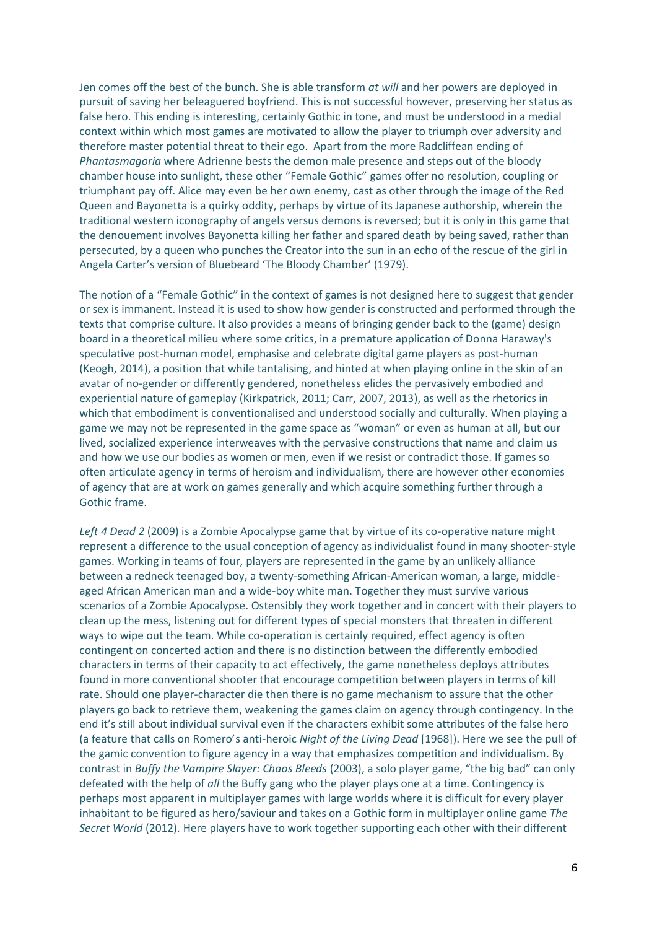Jen comes off the best of the bunch. She is able transform *at will* and her powers are deployed in pursuit of saving her beleaguered boyfriend. This is not successful however, preserving her status as false hero. This ending is interesting, certainly Gothic in tone, and must be understood in a medial context within which most games are motivated to allow the player to triumph over adversity and therefore master potential threat to their ego. Apart from the more Radcliffean ending of *Phantasmagoria* where Adrienne bests the demon male presence and steps out of the bloody chamber house into sunlight, these other "Female Gothic" games offer no resolution, coupling or triumphant pay off. Alice may even be her own enemy, cast as other through the image of the Red Queen and Bayonetta is a quirky oddity, perhaps by virtue of its Japanese authorship, wherein the traditional western iconography of angels versus demons is reversed; but it is only in this game that the denouement involves Bayonetta killing her father and spared death by being saved, rather than persecuted, by a queen who punches the Creator into the sun in an echo of the rescue of the girl in Angela Carter's version of Bluebeard 'The Bloody Chamber' (1979).

The notion of a "Female Gothic" in the context of games is not designed here to suggest that gender or sex is immanent. Instead it is used to show how gender is constructed and performed through the texts that comprise culture. It also provides a means of bringing gender back to the (game) design board in a theoretical milieu where some critics, in a premature application of Donna Haraway's speculative post-human model, emphasise and celebrate digital game players as post-human (Keogh, 2014), a position that while tantalising, and hinted at when playing online in the skin of an avatar of no-gender or differently gendered, nonetheless elides the pervasively embodied and experiential nature of gameplay (Kirkpatrick, 2011; Carr, 2007, 2013), as well as the rhetorics in which that embodiment is conventionalised and understood socially and culturally. When playing a game we may not be represented in the game space as "woman" or even as human at all, but our lived, socialized experience interweaves with the pervasive constructions that name and claim us and how we use our bodies as women or men, even if we resist or contradict those. If games so often articulate agency in terms of heroism and individualism, there are however other economies of agency that are at work on games generally and which acquire something further through a Gothic frame.

*Left 4 Dead 2* (2009) is a Zombie Apocalypse game that by virtue of its co-operative nature might represent a difference to the usual conception of agency as individualist found in many shooter-style games. Working in teams of four, players are represented in the game by an unlikely alliance between a redneck teenaged boy, a twenty-something African-American woman, a large, middleaged African American man and a wide-boy white man. Together they must survive various scenarios of a Zombie Apocalypse. Ostensibly they work together and in concert with their players to clean up the mess, listening out for different types of special monsters that threaten in different ways to wipe out the team. While co-operation is certainly required, effect agency is often contingent on concerted action and there is no distinction between the differently embodied characters in terms of their capacity to act effectively, the game nonetheless deploys attributes found in more conventional shooter that encourage competition between players in terms of kill rate. Should one player-character die then there is no game mechanism to assure that the other players go back to retrieve them, weakening the games claim on agency through contingency. In the end it's still about individual survival even if the characters exhibit some attributes of the false hero (a feature that calls on Romero's anti-heroic *Night of the Living Dead* [1968]). Here we see the pull of the gamic convention to figure agency in a way that emphasizes competition and individualism. By contrast in *Buffy the Vampire Slayer: Chaos Bleeds* (2003), a solo player game, "the big bad" can only defeated with the help of *all* the Buffy gang who the player plays one at a time. Contingency is perhaps most apparent in multiplayer games with large worlds where it is difficult for every player inhabitant to be figured as hero/saviour and takes on a Gothic form in multiplayer online game *The Secret World* (2012). Here players have to work together supporting each other with their different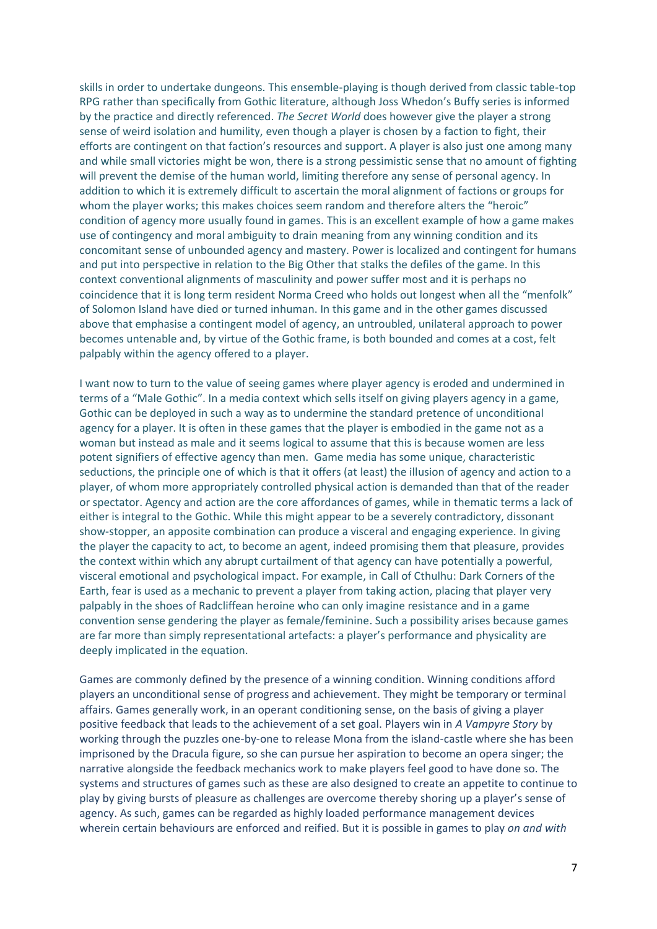skills in order to undertake dungeons. This ensemble-playing is though derived from classic table-top RPG rather than specifically from Gothic literature, although Joss Whedon's Buffy series is informed by the practice and directly referenced. *The Secret World* does however give the player a strong sense of weird isolation and humility, even though a player is chosen by a faction to fight, their efforts are contingent on that faction's resources and support. A player is also just one among many and while small victories might be won, there is a strong pessimistic sense that no amount of fighting will prevent the demise of the human world, limiting therefore any sense of personal agency. In addition to which it is extremely difficult to ascertain the moral alignment of factions or groups for whom the player works; this makes choices seem random and therefore alters the "heroic" condition of agency more usually found in games. This is an excellent example of how a game makes use of contingency and moral ambiguity to drain meaning from any winning condition and its concomitant sense of unbounded agency and mastery. Power is localized and contingent for humans and put into perspective in relation to the Big Other that stalks the defiles of the game. In this context conventional alignments of masculinity and power suffer most and it is perhaps no coincidence that it is long term resident Norma Creed who holds out longest when all the "menfolk" of Solomon Island have died or turned inhuman. In this game and in the other games discussed above that emphasise a contingent model of agency, an untroubled, unilateral approach to power becomes untenable and, by virtue of the Gothic frame, is both bounded and comes at a cost, felt palpably within the agency offered to a player.

I want now to turn to the value of seeing games where player agency is eroded and undermined in terms of a "Male Gothic". In a media context which sells itself on giving players agency in a game, Gothic can be deployed in such a way as to undermine the standard pretence of unconditional agency for a player. It is often in these games that the player is embodied in the game not as a woman but instead as male and it seems logical to assume that this is because women are less potent signifiers of effective agency than men. Game media has some unique, characteristic seductions, the principle one of which is that it offers (at least) the illusion of agency and action to a player, of whom more appropriately controlled physical action is demanded than that of the reader or spectator. Agency and action are the core affordances of games, while in thematic terms a lack of either is integral to the Gothic. While this might appear to be a severely contradictory, dissonant show-stopper, an apposite combination can produce a visceral and engaging experience. In giving the player the capacity to act, to become an agent, indeed promising them that pleasure, provides the context within which any abrupt curtailment of that agency can have potentially a powerful, visceral emotional and psychological impact. For example, in Call of Cthulhu: Dark Corners of the Earth, fear is used as a mechanic to prevent a player from taking action, placing that player very palpably in the shoes of Radcliffean heroine who can only imagine resistance and in a game convention sense gendering the player as female/feminine. Such a possibility arises because games are far more than simply representational artefacts: a player's performance and physicality are deeply implicated in the equation.

Games are commonly defined by the presence of a winning condition. Winning conditions afford players an unconditional sense of progress and achievement. They might be temporary or terminal affairs. Games generally work, in an operant conditioning sense, on the basis of giving a player positive feedback that leads to the achievement of a set goal. Players win in *A Vampyre Story* by working through the puzzles one-by-one to release Mona from the island-castle where she has been imprisoned by the Dracula figure, so she can pursue her aspiration to become an opera singer; the narrative alongside the feedback mechanics work to make players feel good to have done so. The systems and structures of games such as these are also designed to create an appetite to continue to play by giving bursts of pleasure as challenges are overcome thereby shoring up a player's sense of agency. As such, games can be regarded as highly loaded performance management devices wherein certain behaviours are enforced and reified. But it is possible in games to play *on and with*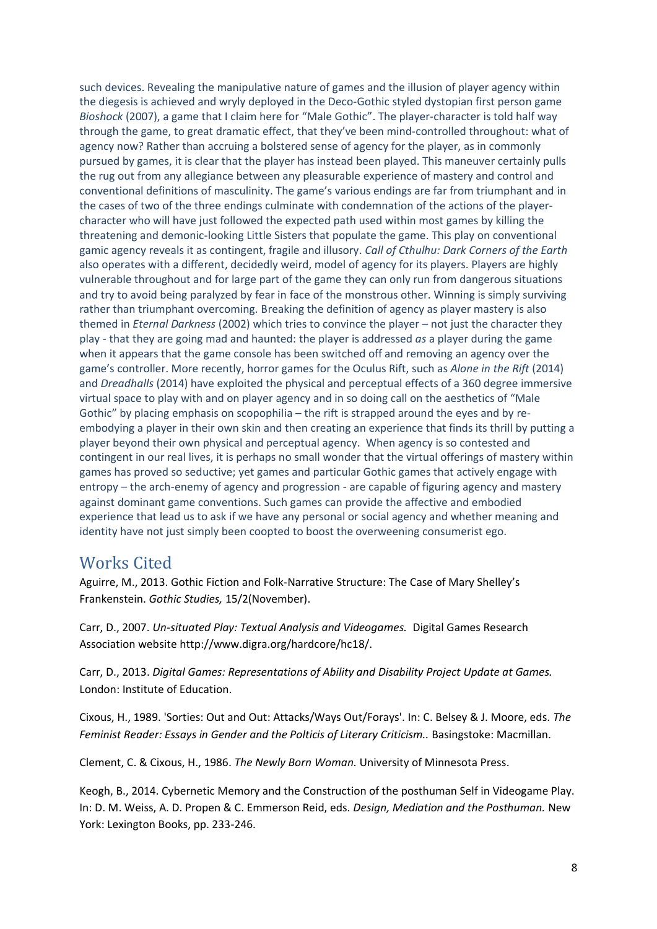such devices. Revealing the manipulative nature of games and the illusion of player agency within the diegesis is achieved and wryly deployed in the Deco-Gothic styled dystopian first person game *Bioshock* (2007), a game that I claim here for "Male Gothic". The player-character is told half way through the game, to great dramatic effect, that they've been mind-controlled throughout: what of agency now? Rather than accruing a bolstered sense of agency for the player, as in commonly pursued by games, it is clear that the player has instead been played. This maneuver certainly pulls the rug out from any allegiance between any pleasurable experience of mastery and control and conventional definitions of masculinity. The game's various endings are far from triumphant and in the cases of two of the three endings culminate with condemnation of the actions of the playercharacter who will have just followed the expected path used within most games by killing the threatening and demonic-looking Little Sisters that populate the game. This play on conventional gamic agency reveals it as contingent, fragile and illusory. *Call of Cthulhu: Dark Corners of the Earth* also operates with a different, decidedly weird, model of agency for its players. Players are highly vulnerable throughout and for large part of the game they can only run from dangerous situations and try to avoid being paralyzed by fear in face of the monstrous other. Winning is simply surviving rather than triumphant overcoming. Breaking the definition of agency as player mastery is also themed in *Eternal Darkness* (2002) which tries to convince the player – not just the character they play - that they are going mad and haunted: the player is addressed *as* a player during the game when it appears that the game console has been switched off and removing an agency over the game's controller. More recently, horror games for the Oculus Rift, such as *Alone in the Rift* (2014) and *Dreadhalls* (2014) have exploited the physical and perceptual effects of a 360 degree immersive virtual space to play with and on player agency and in so doing call on the aesthetics of "Male Gothic" by placing emphasis on scopophilia – the rift is strapped around the eyes and by reembodying a player in their own skin and then creating an experience that finds its thrill by putting a player beyond their own physical and perceptual agency. When agency is so contested and contingent in our real lives, it is perhaps no small wonder that the virtual offerings of mastery within games has proved so seductive; yet games and particular Gothic games that actively engage with entropy – the arch-enemy of agency and progression - are capable of figuring agency and mastery against dominant game conventions. Such games can provide the affective and embodied experience that lead us to ask if we have any personal or social agency and whether meaning and identity have not just simply been coopted to boost the overweening consumerist ego.

## Works Cited

Aguirre, M., 2013. Gothic Fiction and Folk-Narrative Structure: The Case of Mary Shelley's Frankenstein. *Gothic Studies,* 15/2(November).

Carr, D., 2007. *Un-situated Play: Textual Analysis and Videogames.* Digital Games Research Association website http://www.digra.org/hardcore/hc18/.

Carr, D., 2013. *Digital Games: Representations of Ability and Disability Project Update at Games.*  London: Institute of Education.

Cixous, H., 1989. 'Sorties: Out and Out: Attacks/Ways Out/Forays'. In: C. Belsey & J. Moore, eds. *The*  Feminist Reader: Essays in Gender and the Polticis of Literary Criticism.. Basingstoke: Macmillan.

Clement, C. & Cixous, H., 1986. *The Newly Born Woman.* University of Minnesota Press.

Keogh, B., 2014. Cybernetic Memory and the Construction of the posthuman Self in Videogame Play. In: D. M. Weiss, A. D. Propen & C. Emmerson Reid, eds. *Design, Mediation and the Posthuman.* New York: Lexington Books, pp. 233-246.